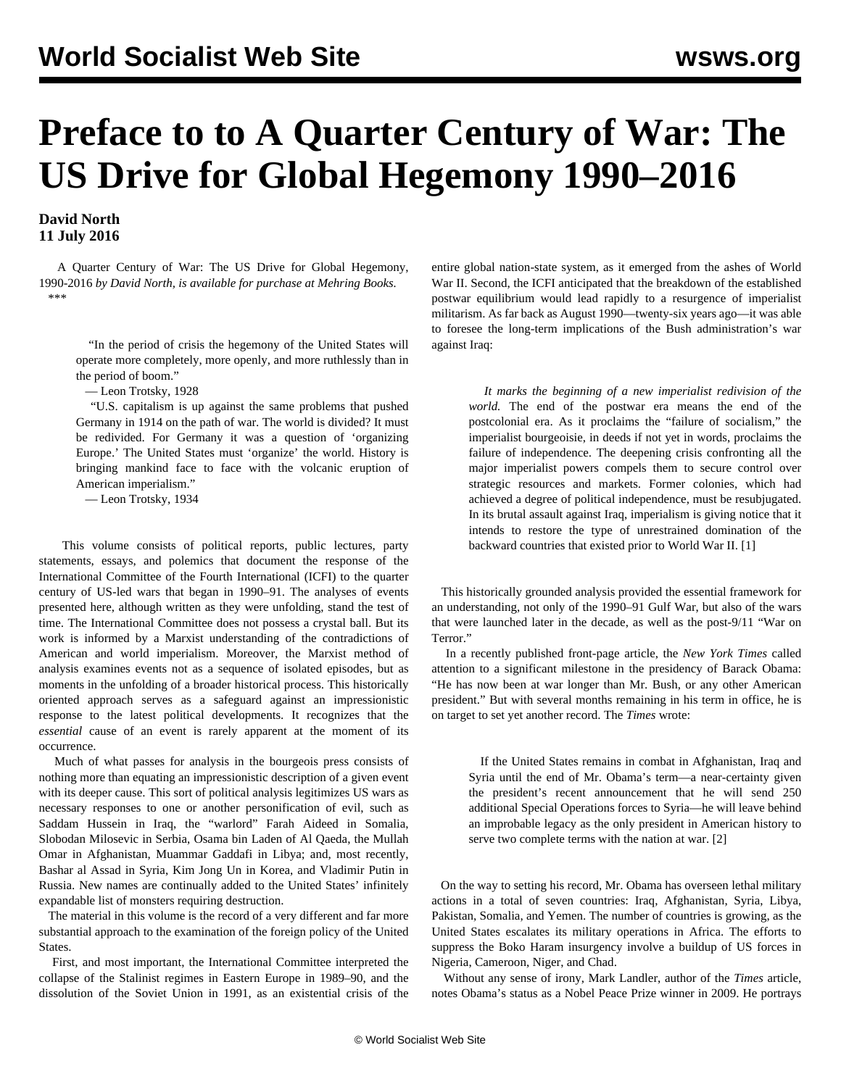## **Preface to to A Quarter Century of War: The US Drive for Global Hegemony 1990–2016**

**David North 11 July 2016**

 A Quarter Century of War: The US Drive for Global Hegemony, 1990-2016 *by David North, is [available for purchase at Mehring Books.](https://mehring.com/product/a-quarter-century-of-war-the-us-drive-for-global-hegemony-1990-2016/)* \*\*\*

 "In the period of crisis the hegemony of the United States will operate more completely, more openly, and more ruthlessly than in the period of boom."

— Leon Trotsky, 1928

 "U.S. capitalism is up against the same problems that pushed Germany in 1914 on the path of war. The world is divided? It must be redivided. For Germany it was a question of 'organizing Europe.' The United States must 'organize' the world. History is bringing mankind face to face with the volcanic eruption of American imperialism."

— Leon Trotsky, 1934

 This volume consists of political reports, public lectures, party statements, essays, and polemics that document the response of the International Committee of the Fourth International (ICFI) to the quarter century of US-led wars that began in 1990–91. The analyses of events presented here, although written as they were unfolding, stand the test of time. The International Committee does not possess a crystal ball. But its work is informed by a Marxist understanding of the contradictions of American and world imperialism. Moreover, the Marxist method of analysis examines events not as a sequence of isolated episodes, but as moments in the unfolding of a broader historical process. This historically oriented approach serves as a safeguard against an impressionistic response to the latest political developments. It recognizes that the *essential* cause of an event is rarely apparent at the moment of its occurrence.

 Much of what passes for analysis in the bourgeois press consists of nothing more than equating an impressionistic description of a given event with its deeper cause. This sort of political analysis legitimizes US wars as necessary responses to one or another personification of evil, such as Saddam Hussein in Iraq, the "warlord" Farah Aideed in Somalia, Slobodan Milosevic in Serbia, Osama bin Laden of Al Qaeda, the Mullah Omar in Afghanistan, Muammar Gaddafi in Libya; and, most recently, Bashar al Assad in Syria, Kim Jong Un in Korea, and Vladimir Putin in Russia. New names are continually added to the United States' infinitely expandable list of monsters requiring destruction.

 The material in this volume is the record of a very different and far more substantial approach to the examination of the foreign policy of the United States.

 First, and most important, the International Committee interpreted the collapse of the Stalinist regimes in Eastern Europe in 1989–90, and the dissolution of the Soviet Union in 1991, as an existential crisis of the entire global nation-state system, as it emerged from the ashes of World War II. Second, the ICFI anticipated that the breakdown of the established postwar equilibrium would lead rapidly to a resurgence of imperialist militarism. As far back as August 1990—twenty-six years ago—it was able to foresee the long-term implications of the Bush administration's war against Iraq:

 *It marks the beginning of a new imperialist redivision of the world.* The end of the postwar era means the end of the postcolonial era. As it proclaims the "failure of socialism," the imperialist bourgeoisie, in deeds if not yet in words, proclaims the failure of independence. The deepening crisis confronting all the major imperialist powers compels them to secure control over strategic resources and markets. Former colonies, which had achieved a degree of political independence, must be resubjugated. In its brutal assault against Iraq, imperialism is giving notice that it intends to restore the type of unrestrained domination of the backward countries that existed prior to World War II. [1]

 This historically grounded analysis provided the essential framework for an understanding, not only of the 1990–91 Gulf War, but also of the wars that were launched later in the decade, as well as the post-9/11 "War on Terror."

 In a recently published front-page article, the *New York Times* called attention to a significant milestone in the presidency of Barack Obama: "He has now been at war longer than Mr. Bush, or any other American president." But with several months remaining in his term in office, he is on target to set yet another record. The *Times* wrote:

 If the United States remains in combat in Afghanistan, Iraq and Syria until the end of Mr. Obama's term—a near-certainty given the president's recent announcement that he will send 250 additional Special Operations forces to Syria—he will leave behind an improbable legacy as the only president in American history to serve two complete terms with the nation at war. [2]

 On the way to setting his record, Mr. Obama has overseen lethal military actions in a total of seven countries: Iraq, Afghanistan, Syria, Libya, Pakistan, Somalia, and Yemen. The number of countries is growing, as the United States escalates its military operations in Africa. The efforts to suppress the Boko Haram insurgency involve a buildup of US forces in Nigeria, Cameroon, Niger, and Chad.

 Without any sense of irony, Mark Landler, author of the *Times* article, notes Obama's status as a Nobel Peace Prize winner in 2009. He portrays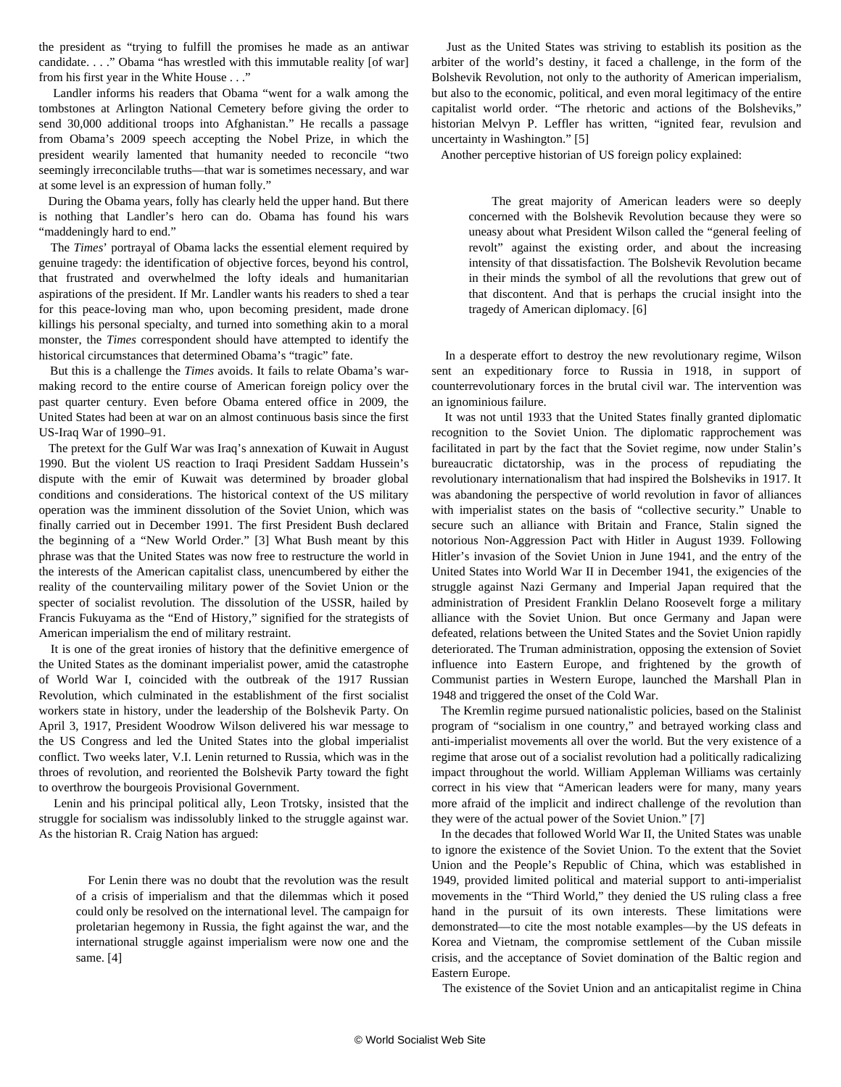the president as "trying to fulfill the promises he made as an antiwar candidate. . . ." Obama "has wrestled with this immutable reality [of war] from his first year in the White House . . ."

 Landler informs his readers that Obama "went for a walk among the tombstones at Arlington National Cemetery before giving the order to send 30,000 additional troops into Afghanistan." He recalls a passage from Obama's 2009 speech accepting the Nobel Prize, in which the president wearily lamented that humanity needed to reconcile "two seemingly irreconcilable truths—that war is sometimes necessary, and war at some level is an expression of human folly."

 During the Obama years, folly has clearly held the upper hand. But there is nothing that Landler's hero can do. Obama has found his wars "maddeningly hard to end."

 The *Times*' portrayal of Obama lacks the essential element required by genuine tragedy: the identification of objective forces, beyond his control, that frustrated and overwhelmed the lofty ideals and humanitarian aspirations of the president. If Mr. Landler wants his readers to shed a tear for this peace-loving man who, upon becoming president, made drone killings his personal specialty, and turned into something akin to a moral monster, the *Times* correspondent should have attempted to identify the historical circumstances that determined Obama's "tragic" fate.

 But this is a challenge the *Times* avoids. It fails to relate Obama's warmaking record to the entire course of American foreign policy over the past quarter century. Even before Obama entered office in 2009, the United States had been at war on an almost continuous basis since the first US-Iraq War of 1990–91.

 The pretext for the Gulf War was Iraq's annexation of Kuwait in August 1990. But the violent US reaction to Iraqi President Saddam Hussein's dispute with the emir of Kuwait was determined by broader global conditions and considerations. The historical context of the US military operation was the imminent dissolution of the Soviet Union, which was finally carried out in December 1991. The first President Bush declared the beginning of a "New World Order." [3] What Bush meant by this phrase was that the United States was now free to restructure the world in the interests of the American capitalist class, unencumbered by either the reality of the countervailing military power of the Soviet Union or the specter of socialist revolution. The dissolution of the USSR, hailed by Francis Fukuyama as the "End of History," signified for the strategists of American imperialism the end of military restraint.

 It is one of the great ironies of history that the definitive emergence of the United States as the dominant imperialist power, amid the catastrophe of World War I, coincided with the outbreak of the 1917 Russian Revolution, which culminated in the establishment of the first socialist workers state in history, under the leadership of the Bolshevik Party. On April 3, 1917, President Woodrow Wilson delivered his war message to the US Congress and led the United States into the global imperialist conflict. Two weeks later, V.I. Lenin returned to Russia, which was in the throes of revolution, and reoriented the Bolshevik Party toward the fight to overthrow the bourgeois Provisional Government.

 Lenin and his principal political ally, Leon Trotsky, insisted that the struggle for socialism was indissolubly linked to the struggle against war. As the historian R. Craig Nation has argued:

 For Lenin there was no doubt that the revolution was the result of a crisis of imperialism and that the dilemmas which it posed could only be resolved on the international level. The campaign for proletarian hegemony in Russia, the fight against the war, and the international struggle against imperialism were now one and the same. [4]

 Just as the United States was striving to establish its position as the arbiter of the world's destiny, it faced a challenge, in the form of the Bolshevik Revolution, not only to the authority of American imperialism, but also to the economic, political, and even moral legitimacy of the entire capitalist world order. "The rhetoric and actions of the Bolsheviks," historian Melvyn P. Leffler has written, "ignited fear, revulsion and uncertainty in Washington." [5]

Another perceptive historian of US foreign policy explained:

 The great majority of American leaders were so deeply concerned with the Bolshevik Revolution because they were so uneasy about what President Wilson called the "general feeling of revolt" against the existing order, and about the increasing intensity of that dissatisfaction. The Bolshevik Revolution became in their minds the symbol of all the revolutions that grew out of that discontent. And that is perhaps the crucial insight into the tragedy of American diplomacy. [6]

 In a desperate effort to destroy the new revolutionary regime, Wilson sent an expeditionary force to Russia in 1918, in support of counterrevolutionary forces in the brutal civil war. The intervention was an ignominious failure.

 It was not until 1933 that the United States finally granted diplomatic recognition to the Soviet Union. The diplomatic rapprochement was facilitated in part by the fact that the Soviet regime, now under Stalin's bureaucratic dictatorship, was in the process of repudiating the revolutionary internationalism that had inspired the Bolsheviks in 1917. It was abandoning the perspective of world revolution in favor of alliances with imperialist states on the basis of "collective security." Unable to secure such an alliance with Britain and France, Stalin signed the notorious Non-Aggression Pact with Hitler in August 1939. Following Hitler's invasion of the Soviet Union in June 1941, and the entry of the United States into World War II in December 1941, the exigencies of the struggle against Nazi Germany and Imperial Japan required that the administration of President Franklin Delano Roosevelt forge a military alliance with the Soviet Union. But once Germany and Japan were defeated, relations between the United States and the Soviet Union rapidly deteriorated. The Truman administration, opposing the extension of Soviet influence into Eastern Europe, and frightened by the growth of Communist parties in Western Europe, launched the Marshall Plan in 1948 and triggered the onset of the Cold War.

 The Kremlin regime pursued nationalistic policies, based on the Stalinist program of "socialism in one country," and betrayed working class and anti-imperialist movements all over the world. But the very existence of a regime that arose out of a socialist revolution had a politically radicalizing impact throughout the world. William Appleman Williams was certainly correct in his view that "American leaders were for many, many years more afraid of the implicit and indirect challenge of the revolution than they were of the actual power of the Soviet Union." [7]

 In the decades that followed World War II, the United States was unable to ignore the existence of the Soviet Union. To the extent that the Soviet Union and the People's Republic of China, which was established in 1949, provided limited political and material support to anti-imperialist movements in the "Third World," they denied the US ruling class a free hand in the pursuit of its own interests. These limitations were demonstrated—to cite the most notable examples—by the US defeats in Korea and Vietnam, the compromise settlement of the Cuban missile crisis, and the acceptance of Soviet domination of the Baltic region and Eastern Europe.

The existence of the Soviet Union and an anticapitalist regime in China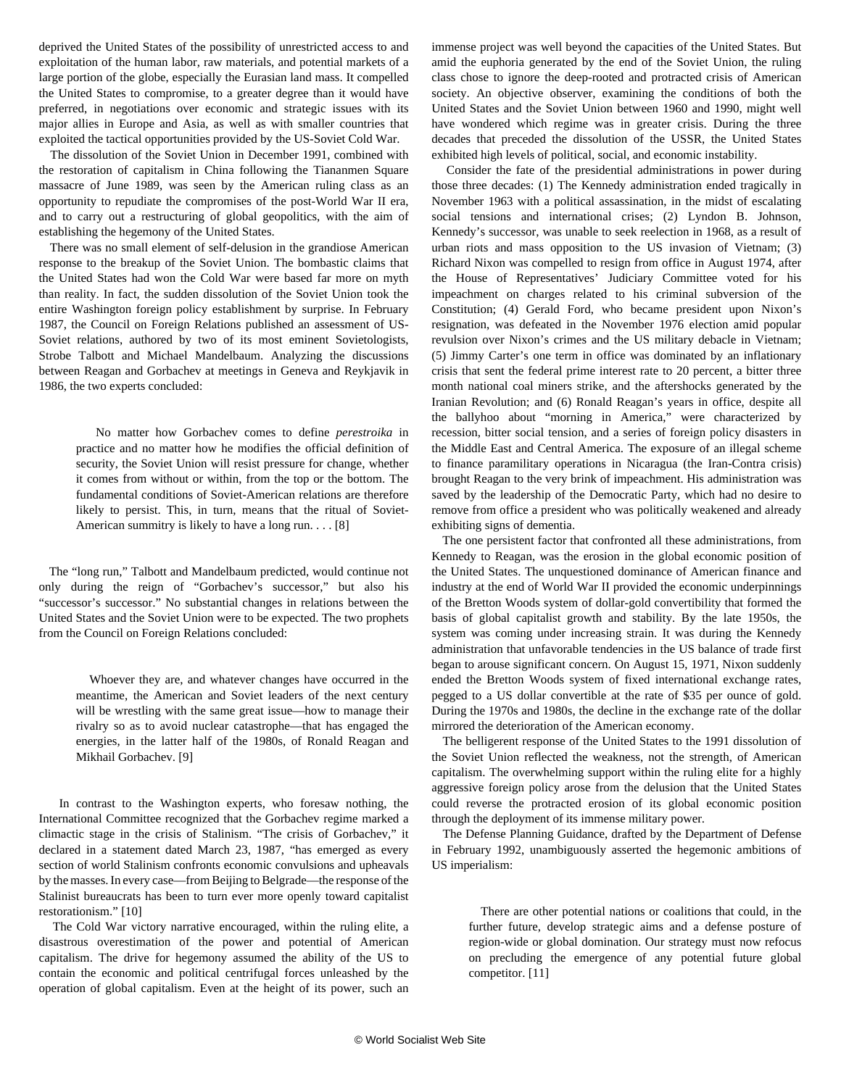deprived the United States of the possibility of unrestricted access to and exploitation of the human labor, raw materials, and potential markets of a large portion of the globe, especially the Eurasian land mass. It compelled the United States to compromise, to a greater degree than it would have preferred, in negotiations over economic and strategic issues with its major allies in Europe and Asia, as well as with smaller countries that exploited the tactical opportunities provided by the US-Soviet Cold War.

 The dissolution of the Soviet Union in December 1991, combined with the restoration of capitalism in China following the Tiananmen Square massacre of June 1989, was seen by the American ruling class as an opportunity to repudiate the compromises of the post-World War II era, and to carry out a restructuring of global geopolitics, with the aim of establishing the hegemony of the United States.

 There was no small element of self-delusion in the grandiose American response to the breakup of the Soviet Union. The bombastic claims that the United States had won the Cold War were based far more on myth than reality. In fact, the sudden dissolution of the Soviet Union took the entire Washington foreign policy establishment by surprise. In February 1987, the Council on Foreign Relations published an assessment of US-Soviet relations, authored by two of its most eminent Sovietologists, Strobe Talbott and Michael Mandelbaum. Analyzing the discussions between Reagan and Gorbachev at meetings in Geneva and Reykjavik in 1986, the two experts concluded:

 No matter how Gorbachev comes to define *perestroika* in practice and no matter how he modifies the official definition of security, the Soviet Union will resist pressure for change, whether it comes from without or within, from the top or the bottom. The fundamental conditions of Soviet-American relations are therefore likely to persist. This, in turn, means that the ritual of Soviet-American summitry is likely to have a long run. . . . [8]

 The "long run," Talbott and Mandelbaum predicted, would continue not only during the reign of "Gorbachev's successor," but also his "successor's successor." No substantial changes in relations between the United States and the Soviet Union were to be expected. The two prophets from the Council on Foreign Relations concluded:

 Whoever they are, and whatever changes have occurred in the meantime, the American and Soviet leaders of the next century will be wrestling with the same great issue—how to manage their rivalry so as to avoid nuclear catastrophe—that has engaged the energies, in the latter half of the 1980s, of Ronald Reagan and Mikhail Gorbachev. [9]

 In contrast to the Washington experts, who foresaw nothing, the International Committee recognized that the Gorbachev regime marked a climactic stage in the crisis of Stalinism. "The crisis of Gorbachev," it declared in a statement dated March 23, 1987, "has emerged as every section of world Stalinism confronts economic convulsions and upheavals by the masses. In every case—from Beijing to Belgrade—the response of the Stalinist bureaucrats has been to turn ever more openly toward capitalist restorationism." [10]

 The Cold War victory narrative encouraged, within the ruling elite, a disastrous overestimation of the power and potential of American capitalism. The drive for hegemony assumed the ability of the US to contain the economic and political centrifugal forces unleashed by the operation of global capitalism. Even at the height of its power, such an

immense project was well beyond the capacities of the United States. But amid the euphoria generated by the end of the Soviet Union, the ruling class chose to ignore the deep-rooted and protracted crisis of American society. An objective observer, examining the conditions of both the United States and the Soviet Union between 1960 and 1990, might well have wondered which regime was in greater crisis. During the three decades that preceded the dissolution of the USSR, the United States exhibited high levels of political, social, and economic instability.

 Consider the fate of the presidential administrations in power during those three decades: (1) The Kennedy administration ended tragically in November 1963 with a political assassination, in the midst of escalating social tensions and international crises; (2) Lyndon B. Johnson, Kennedy's successor, was unable to seek reelection in 1968, as a result of urban riots and mass opposition to the US invasion of Vietnam; (3) Richard Nixon was compelled to resign from office in August 1974, after the House of Representatives' Judiciary Committee voted for his impeachment on charges related to his criminal subversion of the Constitution; (4) Gerald Ford, who became president upon Nixon's resignation, was defeated in the November 1976 election amid popular revulsion over Nixon's crimes and the US military debacle in Vietnam; (5) Jimmy Carter's one term in office was dominated by an inflationary crisis that sent the federal prime interest rate to 20 percent, a bitter three month national coal miners strike, and the aftershocks generated by the Iranian Revolution; and (6) Ronald Reagan's years in office, despite all the ballyhoo about "morning in America," were characterized by recession, bitter social tension, and a series of foreign policy disasters in the Middle East and Central America. The exposure of an illegal scheme to finance paramilitary operations in Nicaragua (the Iran-Contra crisis) brought Reagan to the very brink of impeachment. His administration was saved by the leadership of the Democratic Party, which had no desire to remove from office a president who was politically weakened and already exhibiting signs of dementia.

 The one persistent factor that confronted all these administrations, from Kennedy to Reagan, was the erosion in the global economic position of the United States. The unquestioned dominance of American finance and industry at the end of World War II provided the economic underpinnings of the Bretton Woods system of dollar-gold convertibility that formed the basis of global capitalist growth and stability. By the late 1950s, the system was coming under increasing strain. It was during the Kennedy administration that unfavorable tendencies in the US balance of trade first began to arouse significant concern. On August 15, 1971, Nixon suddenly ended the Bretton Woods system of fixed international exchange rates, pegged to a US dollar convertible at the rate of \$35 per ounce of gold. During the 1970s and 1980s, the decline in the exchange rate of the dollar mirrored the deterioration of the American economy.

 The belligerent response of the United States to the 1991 dissolution of the Soviet Union reflected the weakness, not the strength, of American capitalism. The overwhelming support within the ruling elite for a highly aggressive foreign policy arose from the delusion that the United States could reverse the protracted erosion of its global economic position through the deployment of its immense military power.

 The Defense Planning Guidance, drafted by the Department of Defense in February 1992, unambiguously asserted the hegemonic ambitions of US imperialism:

 There are other potential nations or coalitions that could, in the further future, develop strategic aims and a defense posture of region-wide or global domination. Our strategy must now refocus on precluding the emergence of any potential future global competitor. [11]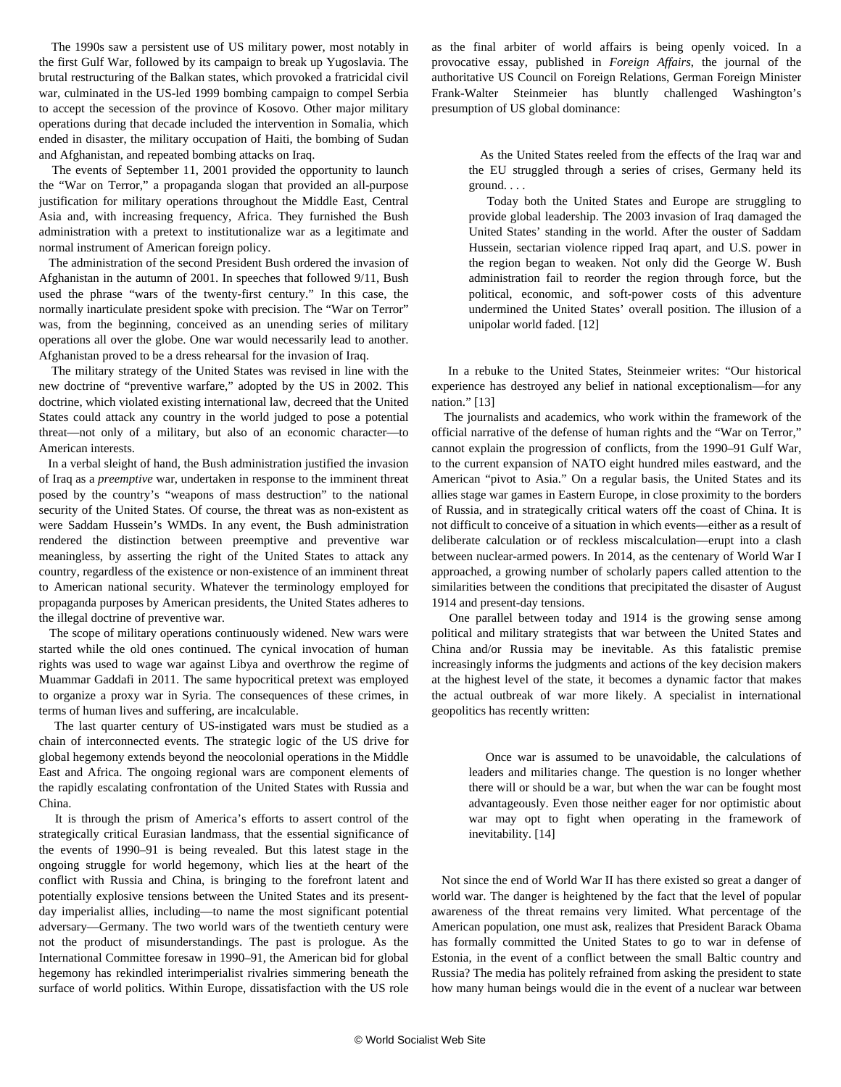The 1990s saw a persistent use of US military power, most notably in the first Gulf War, followed by its campaign to break up Yugoslavia. The brutal restructuring of the Balkan states, which provoked a fratricidal civil war, culminated in the US-led 1999 bombing campaign to compel Serbia to accept the secession of the province of Kosovo. Other major military operations during that decade included the intervention in Somalia, which ended in disaster, the military occupation of Haiti, the bombing of Sudan and Afghanistan, and repeated bombing attacks on Iraq.

 The events of September 11, 2001 provided the opportunity to launch the "War on Terror," a propaganda slogan that provided an all-purpose justification for military operations throughout the Middle East, Central Asia and, with increasing frequency, Africa. They furnished the Bush administration with a pretext to institutionalize war as a legitimate and normal instrument of American foreign policy.

 The administration of the second President Bush ordered the invasion of Afghanistan in the autumn of 2001. In speeches that followed 9/11, Bush used the phrase "wars of the twenty-first century." In this case, the normally inarticulate president spoke with precision. The "War on Terror" was, from the beginning, conceived as an unending series of military operations all over the globe. One war would necessarily lead to another. Afghanistan proved to be a dress rehearsal for the invasion of Iraq.

 The military strategy of the United States was revised in line with the new doctrine of "preventive warfare," adopted by the US in 2002. This doctrine, which violated existing international law, decreed that the United States could attack any country in the world judged to pose a potential threat—not only of a military, but also of an economic character—to American interests.

 In a verbal sleight of hand, the Bush administration justified the invasion of Iraq as a *preemptive* war, undertaken in response to the imminent threat posed by the country's "weapons of mass destruction" to the national security of the United States. Of course, the threat was as non-existent as were Saddam Hussein's WMDs. In any event, the Bush administration rendered the distinction between preemptive and preventive war meaningless, by asserting the right of the United States to attack any country, regardless of the existence or non-existence of an imminent threat to American national security. Whatever the terminology employed for propaganda purposes by American presidents, the United States adheres to the illegal doctrine of preventive war.

 The scope of military operations continuously widened. New wars were started while the old ones continued. The cynical invocation of human rights was used to wage war against Libya and overthrow the regime of Muammar Gaddafi in 2011. The same hypocritical pretext was employed to organize a proxy war in Syria. The consequences of these crimes, in terms of human lives and suffering, are incalculable.

 The last quarter century of US-instigated wars must be studied as a chain of interconnected events. The strategic logic of the US drive for global hegemony extends beyond the neocolonial operations in the Middle East and Africa. The ongoing regional wars are component elements of the rapidly escalating confrontation of the United States with Russia and China.

 It is through the prism of America's efforts to assert control of the strategically critical Eurasian landmass, that the essential significance of the events of 1990–91 is being revealed. But this latest stage in the ongoing struggle for world hegemony, which lies at the heart of the conflict with Russia and China, is bringing to the forefront latent and potentially explosive tensions between the United States and its presentday imperialist allies, including—to name the most significant potential adversary—Germany. The two world wars of the twentieth century were not the product of misunderstandings. The past is prologue. As the International Committee foresaw in 1990–91, the American bid for global hegemony has rekindled interimperialist rivalries simmering beneath the surface of world politics. Within Europe, dissatisfaction with the US role as the final arbiter of world affairs is being openly voiced. In a provocative essay, published in *Foreign Affairs*, the journal of the authoritative US Council on Foreign Relations, German Foreign Minister Frank-Walter Steinmeier has bluntly challenged Washington's presumption of US global dominance:

 As the United States reeled from the effects of the Iraq war and the EU struggled through a series of crises, Germany held its ground. . . .

 Today both the United States and Europe are struggling to provide global leadership. The 2003 invasion of Iraq damaged the United States' standing in the world. After the ouster of Saddam Hussein, sectarian violence ripped Iraq apart, and U.S. power in the region began to weaken. Not only did the George W. Bush administration fail to reorder the region through force, but the political, economic, and soft-power costs of this adventure undermined the United States' overall position. The illusion of a unipolar world faded. [12]

 In a rebuke to the United States, Steinmeier writes: "Our historical experience has destroyed any belief in national exceptionalism—for any nation." [13]

 The journalists and academics, who work within the framework of the official narrative of the defense of human rights and the "War on Terror," cannot explain the progression of conflicts, from the 1990–91 Gulf War, to the current expansion of NATO eight hundred miles eastward, and the American "pivot to Asia." On a regular basis, the United States and its allies stage war games in Eastern Europe, in close proximity to the borders of Russia, and in strategically critical waters off the coast of China. It is not difficult to conceive of a situation in which events—either as a result of deliberate calculation or of reckless miscalculation—erupt into a clash between nuclear-armed powers. In 2014, as the centenary of World War I approached, a growing number of scholarly papers called attention to the similarities between the conditions that precipitated the disaster of August 1914 and present-day tensions.

 One parallel between today and 1914 is the growing sense among political and military strategists that war between the United States and China and/or Russia may be inevitable. As this fatalistic premise increasingly informs the judgments and actions of the key decision makers at the highest level of the state, it becomes a dynamic factor that makes the actual outbreak of war more likely. A specialist in international geopolitics has recently written:

 Once war is assumed to be unavoidable, the calculations of leaders and militaries change. The question is no longer whether there will or should be a war, but when the war can be fought most advantageously. Even those neither eager for nor optimistic about war may opt to fight when operating in the framework of inevitability. [14]

 Not since the end of World War II has there existed so great a danger of world war. The danger is heightened by the fact that the level of popular awareness of the threat remains very limited. What percentage of the American population, one must ask, realizes that President Barack Obama has formally committed the United States to go to war in defense of Estonia, in the event of a conflict between the small Baltic country and Russia? The media has politely refrained from asking the president to state how many human beings would die in the event of a nuclear war between